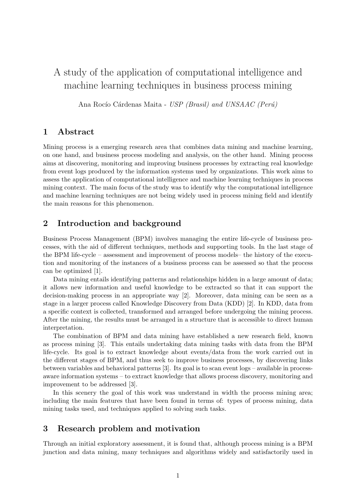# A study of the application of computational intelligence and machine learning techniques in business process mining

Ana Rocío Cárdenas Maita - USP (Brasil) and UNSAAC (Perú)

#### 1 Abstract

Mining process is a emerging research area that combines data mining and machine learning, on one hand, and business process modeling and analysis, on the other hand. Mining process aims at discovering, monitoring and improving business processes by extracting real knowledge from event logs produced by the information systems used by organizations. This work aims to assess the application of computational intelligence and machine learning techniques in process mining context. The main focus of the study was to identify why the computational intelligence and machine learning techniques are not being widely used in process mining field and identify the main reasons for this phenomenon.

## 2 Introduction and background

Business Process Management (BPM) involves managing the entire life-cycle of business processes, with the aid of different techniques, methods and supporting tools. In the last stage of the BPM life-cycle – assessment and improvement of process models– the history of the execution and monitoring of the instances of a business process can be assessed so that the process can be optimized [1].

Data mining entails identifying patterns and relationships hidden in a large amount of data; it allows new information and useful knowledge to be extracted so that it can support the decision-making process in an appropriate way [2]. Moreover, data mining can be seen as a stage in a larger process called Knowledge Discovery from Data (KDD) [2]. In KDD, data from a specific context is collected, transformed and arranged before undergoing the mining process. After the mining, the results must be arranged in a structure that is accessible to direct human interpretation.

The combination of BPM and data mining have established a new research field, known as process mining [3]. This entails undertaking data mining tasks with data from the BPM life-cycle. Its goal is to extract knowledge about events/data from the work carried out in the different stages of BPM, and thus seek to improve business processes, by discovering links between variables and behavioral patterns [3]. Its goal is to scan event logs – available in processaware information systems – to extract knowledge that allows process discovery, monitoring and improvement to be addressed [3].

In this scenery the goal of this work was understand in width the process mining area; including the main features that have been found in terms of: types of process mining, data mining tasks used, and techniques applied to solving such tasks.

# 3 Research problem and motivation

Through an initial exploratory assessment, it is found that, although process mining is a BPM junction and data mining, many techniques and algorithms widely and satisfactorily used in